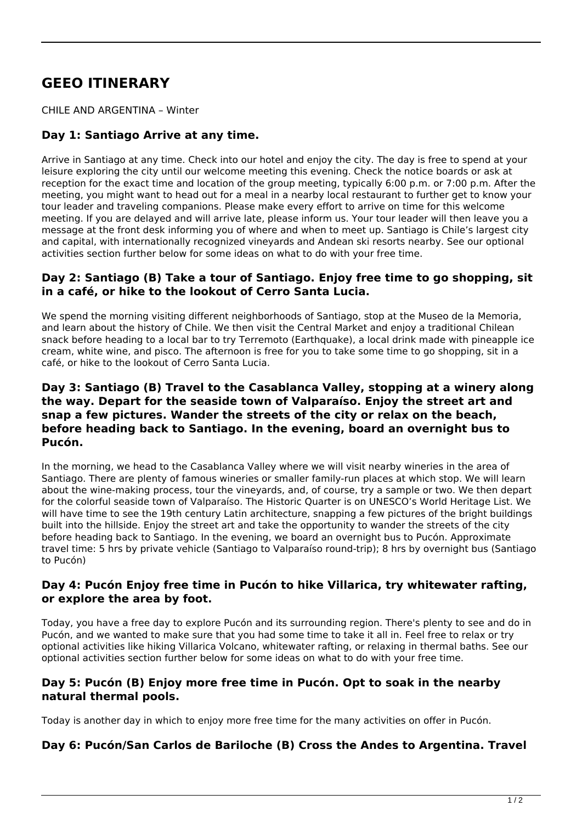# **GEEO ITINERARY**

CHILE AND ARGENTINA – Winter

# **Day 1: Santiago Arrive at any time.**

Arrive in Santiago at any time. Check into our hotel and enjoy the city. The day is free to spend at your leisure exploring the city until our welcome meeting this evening. Check the notice boards or ask at reception for the exact time and location of the group meeting, typically 6:00 p.m. or 7:00 p.m. After the meeting, you might want to head out for a meal in a nearby local restaurant to further get to know your tour leader and traveling companions. Please make every effort to arrive on time for this welcome meeting. If you are delayed and will arrive late, please inform us. Your tour leader will then leave you a message at the front desk informing you of where and when to meet up. Santiago is Chile's largest city and capital, with internationally recognized vineyards and Andean ski resorts nearby. See our optional activities section further below for some ideas on what to do with your free time.

#### **Day 2: Santiago (B) Take a tour of Santiago. Enjoy free time to go shopping, sit in a café, or hike to the lookout of Cerro Santa Lucia.**

We spend the morning visiting different neighborhoods of Santiago, stop at the Museo de la Memoria, and learn about the history of Chile. We then visit the Central Market and enjoy a traditional Chilean snack before heading to a local bar to try Terremoto (Earthquake), a local drink made with pineapple ice cream, white wine, and pisco. The afternoon is free for you to take some time to go shopping, sit in a café, or hike to the lookout of Cerro Santa Lucia.

#### **Day 3: Santiago (B) Travel to the Casablanca Valley, stopping at a winery along the way. Depart for the seaside town of Valparaíso. Enjoy the street art and snap a few pictures. Wander the streets of the city or relax on the beach, before heading back to Santiago. In the evening, board an overnight bus to Pucón.**

In the morning, we head to the Casablanca Valley where we will visit nearby wineries in the area of Santiago. There are plenty of famous wineries or smaller family-run places at which stop. We will learn about the wine-making process, tour the vineyards, and, of course, try a sample or two. We then depart for the colorful seaside town of Valparaíso. The Historic Quarter is on UNESCO's World Heritage List. We will have time to see the 19th century Latin architecture, snapping a few pictures of the bright buildings built into the hillside. Enjoy the street art and take the opportunity to wander the streets of the city before heading back to Santiago. In the evening, we board an overnight bus to Pucón. Approximate travel time: 5 hrs by private vehicle (Santiago to Valparaíso round-trip); 8 hrs by overnight bus (Santiago to Pucón)

#### **Day 4: Pucón Enjoy free time in Pucón to hike Villarica, try whitewater rafting, or explore the area by foot.**

Today, you have a free day to explore Pucón and its surrounding region. There's plenty to see and do in Pucón, and we wanted to make sure that you had some time to take it all in. Feel free to relax or try optional activities like hiking Villarica Volcano, whitewater rafting, or relaxing in thermal baths. See our optional activities section further below for some ideas on what to do with your free time.

# **Day 5: Pucón (B) Enjoy more free time in Pucón. Opt to soak in the nearby natural thermal pools.**

Today is another day in which to enjoy more free time for the many activities on offer in Pucón.

#### **Day 6: Pucón/San Carlos de Bariloche (B) Cross the Andes to Argentina. Travel**